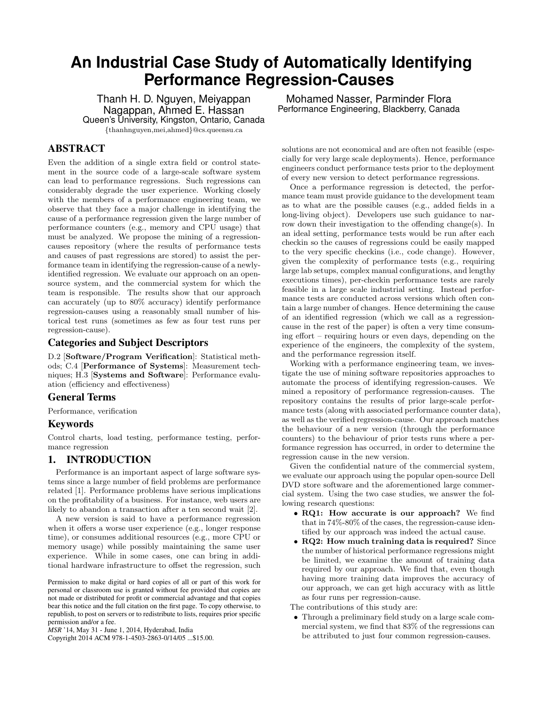# **An Industrial Case Study of Automatically Identifying Performance Regression-Causes**

Thanh H. D. Nguyen, Meiyappan Nagappan, Ahmed E. Hassan Queen's University, Kingston, Ontario, Canada *{*thanhnguyen,mei,ahmed*}*@cs.queensu.ca

# ABSTRACT

Even the addition of a single extra field or control statement in the source code of a large-scale software system can lead to performance regressions. Such regressions can considerably degrade the user experience. Working closely with the members of a performance engineering team, we observe that they face a major challenge in identifying the cause of a performance regression given the large number of performance counters (e.g., memory and CPU usage) that must be analyzed. We propose the mining of a regressioncauses repository (where the results of performance tests and causes of past regressions are stored) to assist the performance team in identifying the regression-cause of a newlyidentified regression. We evaluate our approach on an opensource system, and the commercial system for which the team is responsible. The results show that our approach can accurately (up to 80% accuracy) identify performance regression-causes using a reasonably small number of historical test runs (sometimes as few as four test runs per regression-cause).

#### Categories and Subject Descriptors

D.2 [Software/Program Verification]: Statistical methods; C.4 [Performance of Systems]: Measurement techniques; H.3 [Systems and Software]: Performance evaluation (efficiency and effectiveness)

#### General Terms

Performance, verification

#### Keywords

Control charts, load testing, performance testing, performance regression

# 1. INTRODUCTION

Performance is an important aspect of large software systems since a large number of field problems are performance related [1]. Performance problems have serious implications on the profitability of a business. For instance, web users are likely to abandon a transaction after a ten second wait [2].

A new version is said to have a performance regression when it offers a worse user experience (e.g., longer response time), or consumes additional resources (e.g., more CPU or memory usage) while possibly maintaining the same user experience. While in some cases, one can bring in additional hardware infrastructure to offset the regression, such

Copyright 2014 ACM 978-1-4503-2863-0/14/05 ...\$15.00.

Mohamed Nasser, Parminder Flora Performance Engineering, Blackberry, Canada

solutions are not economical and are often not feasible (especially for very large scale deployments). Hence, performance engineers conduct performance tests prior to the deployment of every new version to detect performance regressions.

Once a performance regression is detected, the performance team must provide guidance to the development team as to what are the possible causes (e.g., added fields in a long-living object). Developers use such guidance to narrow down their investigation to the offending change(s). In an ideal setting, performance tests would be run after each checkin so the causes of regressions could be easily mapped to the very specific checkins (i.e., code change). However, given the complexity of performance tests (e.g., requiring large lab setups, complex manual configurations, and lengthy executions times), per-checkin performance tests are rarely feasible in a large scale industrial setting. Instead performance tests are conducted across versions which often contain a large number of changes. Hence determining the cause of an identified regression (which we call as a regressioncause in the rest of the paper) is often a very time consuming effort  $-$  requiring hours or even days, depending on the experience of the engineers, the complexity of the system, and the performance regression itself.

Working with a performance engineering team, we investigate the use of mining software repositories approaches to automate the process of identifying regression-causes. We mined a repository of performance regression-causes. The repository contains the results of prior large-scale performance tests (along with associated performance counter data), as well as the verified regression-cause. Our approach matches the behaviour of a new version (through the performance counters) to the behaviour of prior tests runs where a performance regression has occurred, in order to determine the regression cause in the new version.

Given the confidential nature of the commercial system, we evaluate our approach using the popular open-source Dell DVD store software and the aforementioned large commercial system. Using the two case studies, we answer the following research questions:

- *•* RQ1: How accurate is our approach? We find that in 74%-80% of the cases, the regression-cause identified by our approach was indeed the actual cause.
- *•* RQ2: How much training data is required? Since the number of historical performance regressions might be limited, we examine the amount of training data required by our approach. We find that, even though having more training data improves the accuracy of our approach, we can get high accuracy with as little as four runs per regression-cause.

The contributions of this study are:

*•* Through a preliminary field study on a large scale commercial system, we find that 83% of the regressions can be attributed to just four common regression-causes.

Permission to make digital or hard copies of all or part of this work for personal or classroom use is granted without fee provided that copies are not made or distributed for profit or commercial advantage and that copies bear this notice and the full citation on the first page. To copy otherwise, to republish, to post on servers or to redistribute to lists, requires prior specific permission and/or a fee.

*MSR* '14, May 31 - June 1, 2014, Hyderabad, India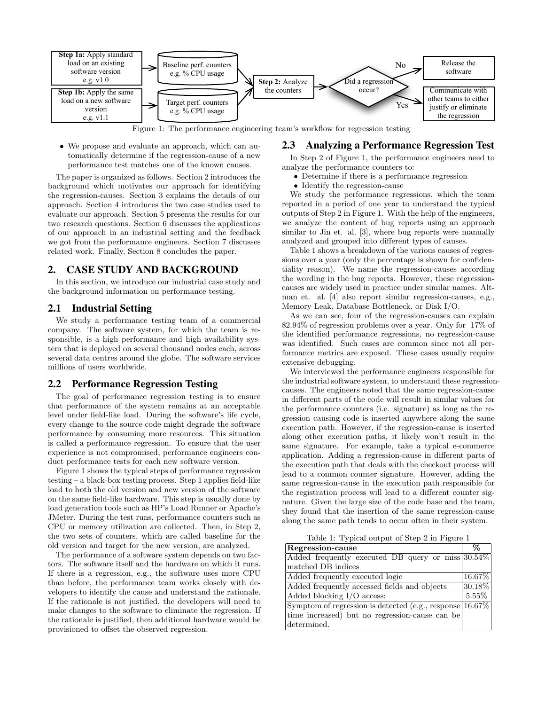

• We propose and evaluate an approach, which can automatically determine if the regression-cause of a new performance test matches one of the known causes.

The paper is organized as follows. Section 2 introduces the background which motivates our approach for identifying the regression-causes. Section 3 explains the details of our approach. Section 4 introduces the two case studies used to evaluate our approach. Section 5 presents the results for our two research questions. Section 6 discusses the applications of our approach in an industrial setting and the feedback we got from the performance engineers. Section 7 discusses related work. Finally, Section 8 concludes the paper.

#### 2. CASE STUDY AND BACKGROUND

In this section, we introduce our industrial case study and the background information on performance testing.

# 2.1 Industrial Setting

We study a performance testing team of a commercial company. The software system, for which the team is responsible, is a high performance and high availability system that is deployed on several thousand nodes each, across several data centres around the globe. The software services millions of users worldwide.

#### 2.2 Performance Regression Testing

The goal of performance regression testing is to ensure that performance of the system remains at an acceptable level under field-like load. During the software's life cycle, every change to the source code might degrade the software performance by consuming more resources. This situation is called a performance regression. To ensure that the user experience is not compromised, performance engineers conduct performance tests for each new software version.

Figure 1 shows the typical steps of performance regression testing – a black-box testing process. Step 1 applies field-like load to both the old version and new version of the software on the same field-like hardware. This step is usually done by load generation tools such as HP's Load Runner or Apache's JMeter. During the test runs, performance counters such as CPU or memory utilization are collected. Then, in Step 2, the two sets of counters, which are called baseline for the old version and target for the new version, are analyzed.

The performance of a software system depends on two factors. The software itself and the hardware on which it runs. If there is a regression, e.g., the software uses more CPU than before, the performance team works closely with developers to identify the cause and understand the rationale. If the rationale is not justified, the developers will need to make changes to the software to eliminate the regression. If the rationale is justified, then additional hardware would be provisioned to offset the observed regression.

#### 2.3 Analyzing a Performance Regression Test

In Step 2 of Figure 1, the performance engineers need to analyze the performance counters to:

- Determine if there is a performance regression
- *•* Identify the regression-cause

We study the performance regressions, which the team reported in a period of one year to understand the typical outputs of Step 2 in Figure 1. With the help of the engineers, we analyze the content of bug reports using an approach similar to Jin et. al. [3], where bug reports were manually analyzed and grouped into different types of causes.

Table 1 shows a breakdown of the various causes of regressions over a year (only the percentage is shown for confidentiality reason). We name the regression-causes according the wording in the bug reports. However, these regressioncauses are widely used in practice under similar names. Altman et. al. [4] also report similar regression-causes, e.g., Memory Leak, Database Bottleneck, or Disk I/O.

As we can see, four of the regression-causes can explain 82.94% of regression problems over a year. Only for 17% of the identified performance regressions, no regression-cause was identified. Such cases are common since not all performance metrics are exposed. These cases usually require extensive debugging.

We interviewed the performance engineers responsible for the industrial software system, to understand these regressioncauses. The engineers noted that the same regression-cause in different parts of the code will result in similar values for the performance counters (i.e. signature) as long as the regression causing code is inserted anywhere along the same execution path. However, if the regression-cause is inserted along other execution paths, it likely won't result in the same signature. For example, take a typical e-commerce application. Adding a regression-cause in different parts of the execution path that deals with the checkout process will lead to a common counter signature. However, adding the same regression-cause in the execution path responsible for the registration process will lead to a different counter signature. Given the large size of the code base and the team, they found that the insertion of the same regression-cause along the same path tends to occur often in their system.

Table 1: Typical output of Step 2 in Figure 1

| <b>Regression-cause</b>                                       |  |  |  |
|---------------------------------------------------------------|--|--|--|
| Added frequently executed DB query or miss 30.54%             |  |  |  |
| matched DB indices                                            |  |  |  |
| Added frequently executed logic                               |  |  |  |
| Added frequently accessed fields and objects                  |  |  |  |
| Added blocking I/O access:                                    |  |  |  |
| Symptom of regression is detected (e.g., response $16.67\%$ ) |  |  |  |
| time increased) but no regression-cause can be                |  |  |  |
| determined.                                                   |  |  |  |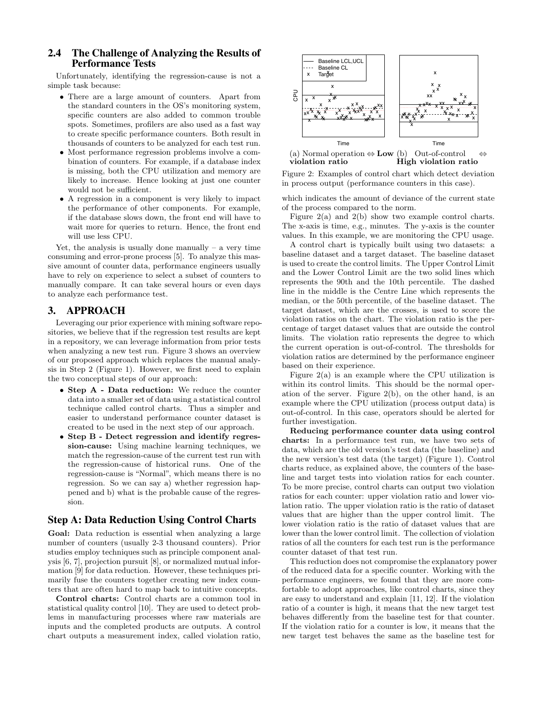# 2.4 The Challenge of Analyzing the Results of Performance Tests

Unfortunately, identifying the regression-cause is not a simple task because:

- *•* There are a large amount of counters. Apart from the standard counters in the OS's monitoring system, specific counters are also added to common trouble spots. Sometimes, profilers are also used as a fast way to create specific performance counters. Both result in thousands of counters to be analyzed for each test run.
- *•* Most performance regression problems involve a combination of counters. For example, if a database index is missing, both the CPU utilization and memory are likely to increase. Hence looking at just one counter would not be sufficient.
- *•* A regression in a component is very likely to impact the performance of other components. For example, if the database slows down, the front end will have to wait more for queries to return. Hence, the front end will use less CPU.

Yet, the analysis is usually done manually  $-$  a very time consuming and error-prone process [5]. To analyze this massive amount of counter data, performance engineers usually have to rely on experience to select a subset of counters to manually compare. It can take several hours or even days to analyze each performance test.

#### 3. APPROACH

Leveraging our prior experience with mining software repositories, we believe that if the regression test results are kept in a repository, we can leverage information from prior tests when analyzing a new test run. Figure 3 shows an overview of our proposed approach which replaces the manual analysis in Step 2 (Figure 1). However, we first need to explain the two conceptual steps of our approach:

- Step A Data reduction: We reduce the counter data into a smaller set of data using a statistical control technique called control charts. Thus a simpler and easier to understand performance counter dataset is created to be used in the next step of our approach.
- *•* Step B Detect regression and identify regression-cause: Using machine learning techniques, we match the regression-cause of the current test run with the regression-cause of historical runs. One of the regression-cause is "Normal", which means there is no regression. So we can say a) whether regression happened and b) what is the probable cause of the regression.

## Step A: Data Reduction Using Control Charts

Goal: Data reduction is essential when analyzing a large number of counters (usually 2-3 thousand counters). Prior studies employ techniques such as principle component analysis [6, 7], projection pursuit [8], or normalized mutual information [9] for data reduction. However, these techniques primarily fuse the counters together creating new index counters that are often hard to map back to intuitive concepts.

Control charts: Control charts are a common tool in statistical quality control [10]. They are used to detect problems in manufacturing processes where raw materials are inputs and the completed products are outputs. A control chart outputs a measurement index, called violation ratio,



(a) Normal operation  $\Leftrightarrow$  **Low** (b) Out-of-control  $\Leftrightarrow$ violation ratio High violation ratio

Figure 2: Examples of control chart which detect deviation in process output (performance counters in this case).

which indicates the amount of deviance of the current state of the process compared to the norm.

Figure 2(a) and 2(b) show two example control charts. The x-axis is time, e.g., minutes. The y-axis is the counter values. In this example, we are monitoring the CPU usage.

A control chart is typically built using two datasets: a baseline dataset and a target dataset. The baseline dataset is used to create the control limits. The Upper Control Limit and the Lower Control Limit are the two solid lines which represents the 90th and the 10th percentile. The dashed line in the middle is the Centre Line which represents the median, or the 50th percentile, of the baseline dataset. The target dataset, which are the crosses, is used to score the violation ratios on the chart. The violation ratio is the percentage of target dataset values that are outside the control limits. The violation ratio represents the degree to which the current operation is out-of-control. The thresholds for violation ratios are determined by the performance engineer based on their experience.

Figure  $2(a)$  is an example where the CPU utilization is within its control limits. This should be the normal operation of the server. Figure 2(b), on the other hand, is an example where the CPU utilization (process output data) is out-of-control. In this case, operators should be alerted for further investigation.

Reducing performance counter data using control charts: In a performance test run, we have two sets of data, which are the old version's test data (the baseline) and the new version's test data (the target) (Figure 1). Control charts reduce, as explained above, the counters of the baseline and target tests into violation ratios for each counter. To be more precise, control charts can output two violation ratios for each counter: upper violation ratio and lower violation ratio. The upper violation ratio is the ratio of dataset values that are higher than the upper control limit. The lower violation ratio is the ratio of dataset values that are lower than the lower control limit. The collection of violation ratios of all the counters for each test run is the performance counter dataset of that test run.

This reduction does not compromise the explanatory power of the reduced data for a specific counter. Working with the performance engineers, we found that they are more comfortable to adopt approaches, like control charts, since they are easy to understand and explain [11, 12]. If the violation ratio of a counter is high, it means that the new target test behaves differently from the baseline test for that counter. If the violation ratio for a counter is low, it means that the new target test behaves the same as the baseline test for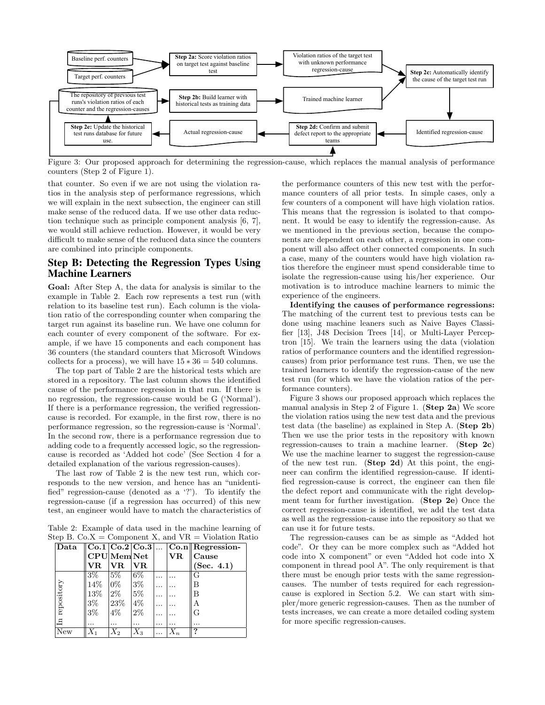

Figure 3: Our proposed approach for determining the regression-cause, which replaces the manual analysis of performance counters (Step 2 of Figure 1).

that counter. So even if we are not using the violation ratios in the analysis step of performance regressions, which we will explain in the next subsection, the engineer can still make sense of the reduced data. If we use other data reduction technique such as principle component analysis [6, 7], we would still achieve reduction. However, it would be very difficult to make sense of the reduced data since the counters are combined into principle components.

#### Step B: Detecting the Regression Types Using Machine Learners

Goal: After Step A, the data for analysis is similar to the example in Table 2. Each row represents a test run (with relation to its baseline test run). Each column is the violation ratio of the corresponding counter when comparing the target run against its baseline run. We have one column for each counter of every component of the software. For example, if we have 15 components and each component has 36 counters (the standard counters that Microsoft Windows collects for a process), we will have  $15 * 36 = 540$  columns.

The top part of Table 2 are the historical tests which are stored in a repository. The last column shows the identified cause of the performance regression in that run. If there is no regression, the regression-cause would be G ('Normal'). If there is a performance regression, the verified regressioncause is recorded. For example, in the first row, there is no performance regression, so the regression-cause is 'Normal'. In the second row, there is a performance regression due to adding code to a frequently accessed logic, so the regressioncause is recorded as 'Added hot code' (See Section 4 for a detailed explanation of the various regression-causes).

The last row of Table 2 is the new test run, which corresponds to the new version, and hence has an "unidentified" regression-cause (denoted as a '?'). To identify the regression-cause (if a regression has occurred) of this new test, an engineer would have to match the characteristics of

Table 2: Example of data used in the machine learning of Step B.  $Co X = Component X$ , and  $VR = Violation Ratio$ 

| Data          |       |                |       |           | $\ $ Co.1 $ $ Co.2 $ $ Co.3 $  $ Co.n $\ $ Regression- |
|---------------|-------|----------------|-------|-----------|--------------------------------------------------------|
|               |       | $CPU$  Mem Net |       | <b>VR</b> | Cause                                                  |
|               | VR    | <b>VR</b>      | VR    |           | (Sec. $4.1$ )                                          |
|               | $3\%$ | $5\%$          | $6\%$ |           | G                                                      |
|               | 14%   | $0\%$          | $3\%$ |           | В                                                      |
|               | 13%   | $2\%$          | $5\%$ |           | в                                                      |
|               | $3\%$ | 23%            | $4\%$ |           | А                                                      |
| In repository | $3\%$ | $4\%$          | $2\%$ |           | G                                                      |
|               |       | .              | .     |           |                                                        |
| New           |       | $X_2$          | $X_3$ |           | າ                                                      |

the performance counters of this new test with the performance counters of all prior tests. In simple cases, only a few counters of a component will have high violation ratios. This means that the regression is isolated to that component. It would be easy to identify the regression-cause. As we mentioned in the previous section, because the components are dependent on each other, a regression in one component will also affect other connected components. In such a case, many of the counters would have high violation ratios therefore the engineer must spend considerable time to isolate the regression-cause using his/her experience. Our motivation is to introduce machine learners to mimic the experience of the engineers.

Identifying the causes of performance regressions: The matching of the current test to previous tests can be done using machine leaners such as Naive Bayes Classifier [13], J48 Decision Trees [14], or Multi-Layer Perceptron [15]. We train the learners using the data (violation ratios of performance counters and the identified regressioncauses) from prior performance test runs. Then, we use the trained learners to identify the regression-cause of the new test run (for which we have the violation ratios of the performance counters).

Figure 3 shows our proposed approach which replaces the manual analysis in Step 2 of Figure 1. (Step 2a) We score the violation ratios using the new test data and the previous test data (the baseline) as explained in Step A. (Step 2b) Then we use the prior tests in the repository with known regression-causes to train a machine learner. (Step 2c) We use the machine learner to suggest the regression-cause of the new test run. (Step 2d) At this point, the engineer can confirm the identified regression-cause. If identified regression-cause is correct, the engineer can then file the defect report and communicate with the right development team for further investigation. (Step 2e) Once the correct regression-cause is identified, we add the test data as well as the regression-cause into the repository so that we can use it for future tests.

The regression-causes can be as simple as "Added hot code". Or they can be more complex such as "Added hot code into X component" or even "Added hot code into X component in thread pool A". The only requirement is that there must be enough prior tests with the same regressioncauses. The number of tests required for each regressioncause is explored in Section 5.2. We can start with simpler/more generic regression-causes. Then as the number of tests increases, we can create a more detailed coding system for more specific regression-causes.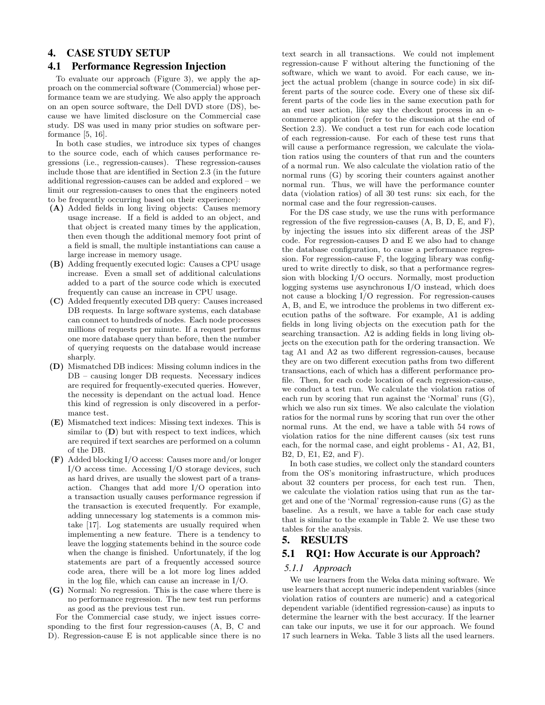# 4. CASE STUDY SETUP

#### 4.1 Performance Regression Injection

To evaluate our approach (Figure 3), we apply the approach on the commercial software (Commercial) whose performance team we are studying. We also apply the approach on an open source software, the Dell DVD store (DS), because we have limited disclosure on the Commercial case study. DS was used in many prior studies on software performance [5, 16].

In both case studies, we introduce six types of changes to the source code, each of which causes performance regressions (i.e., regression-causes). These regression-causes include those that are identified in Section 2.3 (in the future additional regression-causes can be added and explored – we limit our regression-causes to ones that the engineers noted to be frequently occurring based on their experience):

- (A) Added fields in long living objects: Causes memory usage increase. If a field is added to an object, and that object is created many times by the application, then even though the additional memory foot print of a field is small, the multiple instantiations can cause a large increase in memory usage.
- (B) Adding frequently executed logic: Causes a CPU usage increase. Even a small set of additional calculations added to a part of the source code which is executed frequently can cause an increase in CPU usage.
- (C) Added frequently executed DB query: Causes increased DB requests. In large software systems, each database can connect to hundreds of nodes. Each node processes millions of requests per minute. If a request performs one more database query than before, then the number of querying requests on the database would increase sharply.
- (D) Mismatched DB indices: Missing column indices in the DB – causing longer DB requests. Necessary indices are required for frequently-executed queries. However, the necessity is dependant on the actual load. Hence this kind of regression is only discovered in a performance test.
- (E) Mismatched text indices: Missing text indexes. This is similar to  $(D)$  but with respect to text indices, which are required if text searches are performed on a column of the DB.
- (F) Added blocking I/O access: Causes more and/or longer I/O access time. Accessing I/O storage devices, such as hard drives, are usually the slowest part of a transaction. Changes that add more I/O operation into a transaction usually causes performance regression if the transaction is executed frequently. For example, adding unnecessary log statements is a common mistake [17]. Log statements are usually required when implementing a new feature. There is a tendency to leave the logging statements behind in the source code when the change is finished. Unfortunately, if the log statements are part of a frequently accessed source code area, there will be a lot more log lines added in the log file, which can cause an increase in I/O.
- (G) Normal: No regression. This is the case where there is no performance regression. The new test run performs as good as the previous test run.

For the Commercial case study, we inject issues corresponding to the first four regression-causes (A, B, C and D). Regression-cause E is not applicable since there is no text search in all transactions. We could not implement regression-cause F without altering the functioning of the software, which we want to avoid. For each cause, we inject the actual problem (change in source code) in six different parts of the source code. Every one of these six different parts of the code lies in the same execution path for an end user action, like say the checkout process in an ecommerce application (refer to the discussion at the end of Section 2.3). We conduct a test run for each code location of each regression-cause. For each of these test runs that will cause a performance regression, we calculate the violation ratios using the counters of that run and the counters of a normal run. We also calculate the violation ratio of the normal runs (G) by scoring their counters against another normal run. Thus, we will have the performance counter data (violation ratios) of all 30 test runs: six each, for the normal case and the four regression-causes.

For the DS case study, we use the runs with performance regression of the five regression-causes (A, B, D, E, and F), by injecting the issues into six different areas of the JSP code. For regression-causes D and E we also had to change the database configuration, to cause a performance regression. For regression-cause F, the logging library was configured to write directly to disk, so that a performance regression with blocking I/O occurs. Normally, most production logging systems use asynchronous I/O instead, which does not cause a blocking I/O regression. For regression-causes A, B, and E, we introduce the problems in two different execution paths of the software. For example, A1 is adding fields in long living objects on the execution path for the searching transaction. A2 is adding fields in long living objects on the execution path for the ordering transaction. We tag  $A1$  and  $A2$  as two different regression-causes, because they are on two different execution paths from two different transactions, each of which has a different performance profile. Then, for each code location of each regression-cause, we conduct a test run. We calculate the violation ratios of each run by scoring that run against the 'Normal' runs (G), which we also run six times. We also calculate the violation ratios for the normal runs by scoring that run over the other normal runs. At the end, we have a table with 54 rows of violation ratios for the nine different causes (six test runs each, for the normal case, and eight problems - A1, A2, B1, B2, D, E1, E2, and F).

In both case studies, we collect only the standard counters from the OS's monitoring infrastructure, which produces about 32 counters per process, for each test run. Then, we calculate the violation ratios using that run as the target and one of the 'Normal' regression-cause runs (G) as the baseline. As a result, we have a table for each case study that is similar to the example in Table 2. We use these two tables for the analysis.

#### 5. RESULTS

#### 5.1 RQ1: How Accurate is our Approach?

#### *5.1.1 Approach*

We use learners from the Weka data mining software. We use learners that accept numeric independent variables (since violation ratios of counters are numeric) and a categorical dependent variable (identified regression-cause) as inputs to determine the learner with the best accuracy. If the learner can take our inputs, we use it for our approach. We found 17 such learners in Weka. Table 3 lists all the used learners.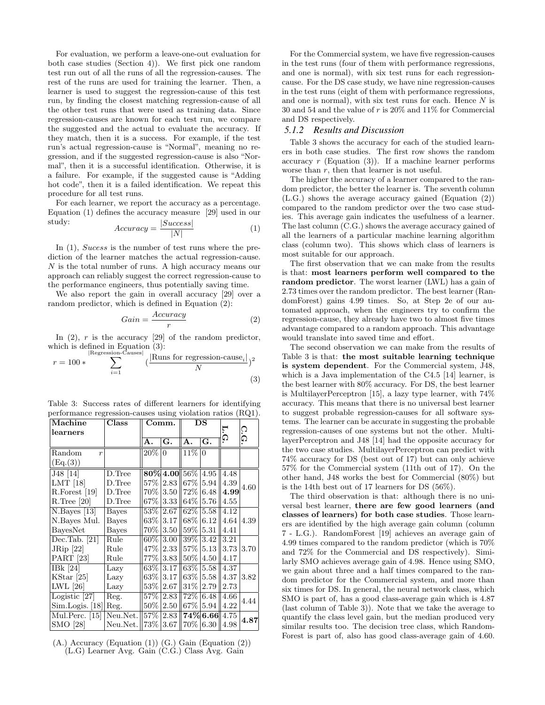For evaluation, we perform a leave-one-out evaluation for both case studies (Section 4)). We first pick one random test run out of all the runs of all the regression-causes. The rest of the runs are used for training the learner. Then, a learner is used to suggest the regression-cause of this test run, by finding the closest matching regression-cause of all the other test runs that were used as training data. Since regression-causes are known for each test run, we compare the suggested and the actual to evaluate the accuracy. If they match, then it is a success. For example, if the test run's actual regression-cause is "Normal", meaning no regression, and if the suggested regression-cause is also "Normal", then it is a successful identification. Otherwise, it is a failure. For example, if the suggested cause is "Adding hot code", then it is a failed identification. We repeat this procedure for all test runs.

For each learner, we report the accuracy as a percentage. Equation (1) defines the accuracy measure [29] used in our study: study: *Accuracy* <sup>=</sup> *<sup>|</sup>Success<sup>|</sup>*

$$
Accuracy = \frac{|Saccess|}{|N|} \tag{1}
$$

In (1), *Sucess* is the number of test runs where the prediction of the learner matches the actual regression-cause. *N* is the total number of runs. A high accuracy means our approach can reliably suggest the correct regression-cause to the performance engineers, thus potentially saving time.

We also report the gain in overall accuracy [29] over a random predictor, which is defined in Equation (2):

$$
Gain = \frac{Accuracy}{r}
$$
 (2)

In  $(2)$ , *r* is the accuracy  $[29]$  of the random predictor, which is defined in Equation (3):

$$
r = 100 * \sum_{i=1}^{\lvert \text{Regression-Causes} \rvert} (\frac{\lvert \text{Runs for regression-cause}_i \rvert}{N})^2
$$
\n(3)

Table 3: Success rates of different learners for identifying performance regression-causes using violation ratios (RQ1).

| Machine                             | Class        | Comm.  |                    | DS        |                           |      |                   |
|-------------------------------------|--------------|--------|--------------------|-----------|---------------------------|------|-------------------|
| learners                            |              |        |                    |           |                           | L.G  | C.G               |
|                                     |              | А.     | $\overline{G}$ .   | A.        | $\overline{\mathbf{G}}$ . |      |                   |
| Random<br>$\overline{r}$            |              | $20\%$ | $\overline{0}$     | $11\%$    | $\overline{0}$            |      |                   |
| (Eq.(3))                            |              |        |                    |           |                           |      |                   |
| J48 [14]                            | D.Tree       |        | $80\%$ 4.00 $56\%$ |           | 4.95                      | 4.48 |                   |
| LMT $[18]$                          | $D.$ Tree    | 57%    | 2.83               | $67\%$    | 5.94                      | 4.39 | 4.60              |
| $R.Forest$ [19]                     | D.Tree       |        | 70% 3.50           | $72\%$    | 6.48                      | 4.99 |                   |
| $R$ . Tree [20]                     | D.Tree       | $67\%$ | 3.33               | $64\%$    | 5.76                      | 4.55 |                   |
| N.Baves [13]                        | Bayes        | $53\%$ | 2.67               | $62\%$    | 5.58                      | 4.12 |                   |
| N.Bayes Mul.                        | <b>Bayes</b> | $63\%$ | 3.17               | $68\%$    | 6.12                      | 4.64 | 4.39              |
| BayesNet                            | <b>Bayes</b> | 70%    | 3.50               | $59\%$    | 5.31                      | 4.41 |                   |
| $\overline{\text{Dec}}$ . Tab. [21] | Rule         | $60\%$ | 3.00               | $39\%$    | 3.42                      | 3.21 |                   |
| $J\mathrm{Rip}$ [22]                | Rule         | 47%    | 2.33               | $57\%$    | 5.13                      | 3.73 | 3.70              |
| <b>PART</b> [23]                    | Rule         | 77%    | 3.83               | $50\%$    | 4.50                      | 4.17 |                   |
| IB $k$ [24]                         | Lazy         | $63\%$ | 3.17               | $63\%$    | 5.58                      | 4.37 |                   |
| $KStar$ [25]                        | Lazy         |        | 63\% 3.17          | $63\%$    | 5.58                      | 4.37 | 3.82              |
| LWL [26]                            | Lazy         | $53\%$ | 2.67               | $31\%$    | 2.79                      | 2.73 |                   |
| Logistic [27]                       | Reg.         | $57\%$ | 2.83               | $72\%$    | 6.48                      | 4.66 | 4.44              |
| $Sim.Logis.$ [18]                   | Reg.         | $50\%$ | 2.50               | $67\%$    | 5.94                      | 4.22 |                   |
| Mul.Perc. $[15]$                    | Neu.Net.     | 57\%   | 2.83               |           | 74% 6.66                  | 4.75 | $\phantom{0}4.87$ |
| SMO [28]                            | Neu.Net.     |        | 73\% 3.67          | 70\% 6.30 |                           | 4.98 |                   |

(A.) Accuracy (Equation (1)) (G.) Gain (Equation (2)) (L.G) Learner Avg. Gain (C.G.) Class Avg. Gain

For the Commercial system, we have five regression-causes in the test runs (four of them with performance regressions, and one is normal), with six test runs for each regressioncause. For the DS case study, we have nine regression-causes in the test runs (eight of them with performance regressions, and one is normal), with six test runs for each. Hence *N* is 30 and 54 and the value of *r* is 20% and 11% for Commercial and DS respectively.

#### *5.1.2 Results and Discussion*

Table 3 shows the accuracy for each of the studied learners in both case studies. The first row shows the random accuracy *r* (Equation (3)). If a machine learner performs worse than *r*, then that learner is not useful.

The higher the accuracy of a learner compared to the random predictor, the better the learner is. The seventh column (L.G.) shows the average accuracy gained (Equation (2)) compared to the random predictor over the two case studies. This average gain indicates the usefulness of a learner. The last column (C.G.) shows the average accuracy gained of all the learners of a particular machine learning algorithm class (column two). This shows which class of learners is most suitable for our approach.

The first observation that we can make from the results is that: most learners perform well compared to the random predictor. The worst learner (LWL) has a gain of 2.73 times over the random predictor. The best learner (RandomForest) gains 4.99 times. So, at Step 2e of our automated approach, when the engineers try to confirm the regression-cause, they already have two to almost five times advantage compared to a random approach. This advantage would translate into saved time and effort.

The second observation we can make from the results of Table 3 is that: the most suitable learning technique is system dependent. For the Commercial system, J48, which is a Java implementation of the C4.5 [14] learner, is the best learner with 80% accuracy. For DS, the best learner is MultilayerPerceptron [15], a lazy type learner, with 74% accuracy. This means that there is no universal best learner to suggest probable regression-causes for all software systems. The learner can be accurate in suggesting the probable regression-causes of one systems but not the other. MultilayerPerceptron and J48 [14] had the opposite accuracy for the two case studies. MultilayerPerceptron can predict with 74% accuracy for DS (best out of 17) but can only achieve 57% for the Commercial system (11th out of 17). On the other hand, J48 works the best for Commercial (80%) but is the 14th best out of 17 learners for DS (56%).

The third observation is that: although there is no universal best learner, there are few good learners (and classes of learners) for both case studies. Those learners are identified by the high average gain column (column 7 - L.G.). RandomForest [19] achieves an average gain of 4.99 times compared to the random predictor (which is 70% and 72% for the Commercial and DS respectively). Similarly SMO achieves average gain of 4.98. Hence using SMO, we gain about three and a half times compared to the random predictor for the Commercial system, and more than six times for DS. In general, the neural network class, which SMO is part of, has a good class-average gain which is 4.87 (last column of Table 3)). Note that we take the average to quantify the class level gain, but the median produced very similar results too. The decision tree class, which Random-Forest is part of, also has good class-average gain of 4.60.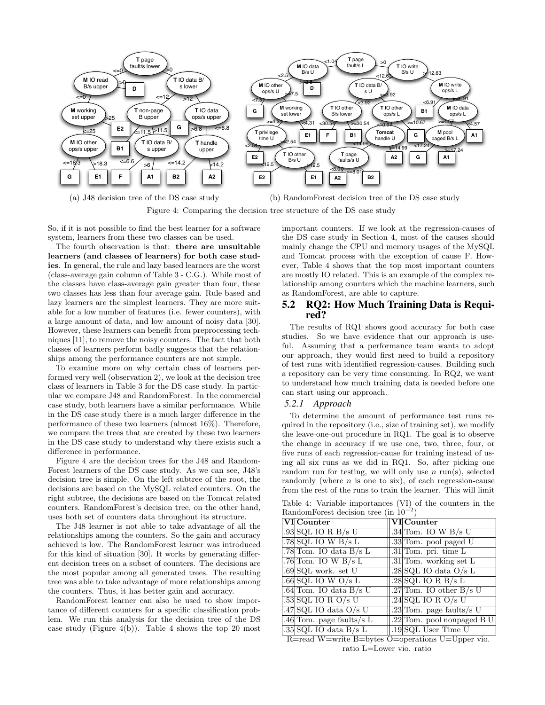

(a) J48 decision tree of the DS case study

(b) RandomForest decision tree of the DS case study

Figure 4: Comparing the decision tree structure of the DS case study

So, if it is not possible to find the best learner for a software system, learners from these two classes can be used.

The fourth observation is that: there are unsuitable learners (and classes of learners) for both case studies. In general, the rule and lazy based learners are the worst (class-average gain column of Table 3 - C.G.). While most of the classes have class-average gain greater than four, these two classes has less than four average gain. Rule based and lazy learners are the simplest learners. They are more suitable for a low number of features (i.e. fewer counters), with a large amount of data, and low amount of noisy data [30]. However, these learners can benefit from preprocessing techniques [11], to remove the noisy counters. The fact that both classes of learners perform badly suggests that the relationships among the performance counters are not simple.

To examine more on why certain class of learners performed very well (observation 2), we look at the decision tree class of learners in Table 3 for the DS case study. In particular we compare J48 and RandomForest. In the commercial case study, both learners have a similar performance. While in the DS case study there is a much larger difference in the performance of these two learners (almost 16%). Therefore, we compare the trees that are created by these two learners in the DS case study to understand why there exists such a difference in performance.

Figure 4 are the decision trees for the J48 and Random-Forest learners of the DS case study. As we can see, J48's decision tree is simple. On the left subtree of the root, the decisions are based on the MySQL related counters. On the right subtree, the decisions are based on the Tomcat related counters. RandomForest's decision tree, on the other hand, uses both set of counters data throughout its structure.

The J48 learner is not able to take advantage of all the relationships among the counters. So the gain and accuracy achieved is low. The RandomForest learner was introduced for this kind of situation  $[30]$ . It works by generating different decision trees on a subset of counters. The decisions are the most popular among all generated trees. The resulting tree was able to take advantage of more relationships among the counters. Thus, it has better gain and accuracy.

RandomForest learner can also be used to show importance of different counters for a specific classification problem. We run this analysis for the decision tree of the DS case study (Figure 4(b)). Table 4 shows the top 20 most important counters. If we look at the regression-causes of the DS case study in Section 4, most of the causes should mainly change the CPU and memory usages of the MySQL and Tomcat process with the exception of cause F. However, Table 4 shows that the top most important counters are mostly IO related. This is an example of the complex relationship among counters which the machine learners, such as RandomForest, are able to capture.

#### 5.2 RQ2: How Much Training Data is Required?

The results of RQ1 shows good accuracy for both case studies. So we have evidence that our approach is useful. Assuming that a performance team wants to adopt our approach, they would first need to build a repository of test runs with identified regression-causes. Building such a repository can be very time consuming. In RQ2, we want to understand how much training data is needed before one can start using our approach.

#### *5.2.1 Approach*

To determine the amount of performance test runs required in the repository (i.e., size of training set), we modify the leave-one-out procedure in RQ1. The goal is to observe the change in accuracy if we use one, two, three, four, or five runs of each regression-cause for training instead of using all six runs as we did in RQ1. So, after picking one random run for testing, we will only use *n* run(s), selected randomly (where *n* is one to six), of each regression-cause from the rest of the runs to train the learner. This will limit

Table 4: Variable importances (VI) of the counters in the RandomForest decision tree (in  $10^{-7}$ 

| VICounter                  | <b>VI</b> Counter          |
|----------------------------|----------------------------|
| $.93$ SQL IO R B/s U       | .34 Tom. IO W B/s U        |
| $.78$ SQL IO W B/s L       | .33 Tom. pool paged U      |
| .78 Tom. IO data $B/s$ L   | .31 Tom. pri. time $L$     |
| $.76$ Tom. IO W B/s L      | $.31$ Tom. working set L   |
| $.69 SQL$ work. set U      | .28 SQL IO data $O/s$ L    |
| .66 SQL IO W O/s L         | $.28$ SQLIORB/sL           |
| .64 Tom. IO data $B/s$ U   | .27 Tom. IO other $B/s$ U  |
| $.53$ SQL IO R O/s U       | .24 SQL IO R O/s U         |
| $.47$ SQL IO data O/s U    | .23 Tom. page faults/s $U$ |
| .46 Tom. page faults/s $L$ | .22 Tom. pool nonpaged B U |
| .35 SQL IO data B/s L      | .19 SQL User Time U        |

R=read W=write B=bytes O=operations U=Upper vio. ratio L=Lower vio. ratio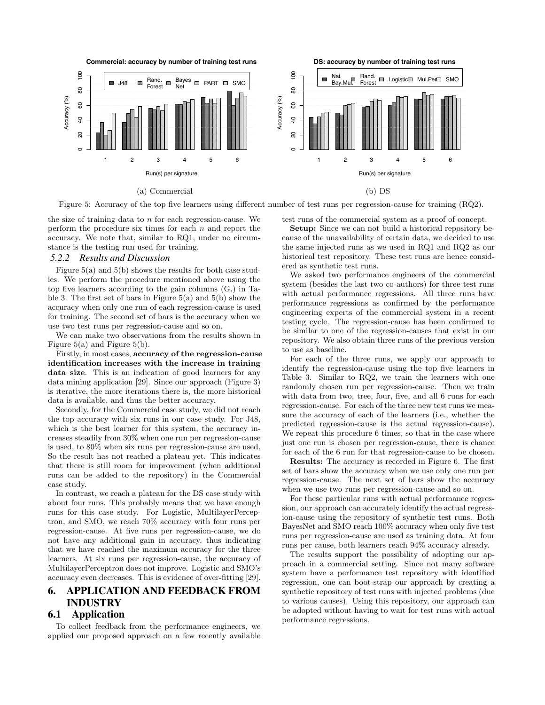

Figure 5: Accuracy of the top five learners using different number of test runs per regression-cause for training  $(RQ2)$ .

the size of training data to *n* for each regression-cause. We perform the procedure six times for each *n* and report the accuracy. We note that, similar to RQ1, under no circumstance is the testing run used for training.

#### *5.2.2 Results and Discussion*

Figure  $5(a)$  and  $5(b)$  shows the results for both case studies. We perform the procedure mentioned above using the top five learners according to the gain columns (G.) in Table 3. The first set of bars in Figure 5(a) and 5(b) show the accuracy when only one run of each regression-cause is used for training. The second set of bars is the accuracy when we use two test runs per regression-cause and so on.

We can make two observations from the results shown in Figure 5(a) and Figure 5(b).

Firstly, in most cases, accuracy of the regression-cause identification increases with the increase in training data size. This is an indication of good learners for any data mining application [29]. Since our approach (Figure 3) is iterative, the more iterations there is, the more historical data is available, and thus the better accuracy.

Secondly, for the Commercial case study, we did not reach the top accuracy with six runs in our case study. For J48, which is the best learner for this system, the accuracy increases steadily from 30% when one run per regression-cause is used, to 80% when six runs per regression-cause are used. So the result has not reached a plateau yet. This indicates that there is still room for improvement (when additional runs can be added to the repository) in the Commercial case study.

In contrast, we reach a plateau for the DS case study with about four runs. This probably means that we have enough runs for this case study. For Logistic, MultilayerPerceptron, and SMO, we reach 70% accuracy with four runs per regression-cause. At five runs per regression-cause, we do not have any additional gain in accuracy, thus indicating that we have reached the maximum accuracy for the three learners. At six runs per regression-cause, the accuracy of MultilayerPerceptron does not improve. Logistic and SMO's accuracy even decreases. This is evidence of over-fitting [29].

# 6. APPLICATION AND FEEDBACK FROM INDUSTRY

# 6.1 Application

To collect feedback from the performance engineers, we applied our proposed approach on a few recently available

test runs of the commercial system as a proof of concept. Setup: Since we can not build a historical repository because of the unavailability of certain data, we decided to use the same injected runs as we used in RQ1 and RQ2 as our historical test repository. These test runs are hence considered as synthetic test runs.

We asked two performance engineers of the commercial system (besides the last two co-authors) for three test runs with actual performance regressions. All three runs have performance regressions as confirmed by the performance engineering experts of the commercial system in a recent testing cycle. The regression-cause has been confirmed to be similar to one of the regression-causes that exist in our repository. We also obtain three runs of the previous version to use as baseline.

For each of the three runs, we apply our approach to identify the regression-cause using the top five learners in Table 3. Similar to RQ2, we train the learners with one randomly chosen run per regression-cause. Then we train with data from two, tree, four, five, and all 6 runs for each regression-cause. For each of the three new test runs we measure the accuracy of each of the learners (i.e., whether the predicted regression-cause is the actual regression-cause). We repeat this procedure 6 times, so that in the case where just one run is chosen per regression-cause, there is chance for each of the 6 run for that regression-cause to be chosen.

Results: The accuracy is recorded in Figure 6. The first set of bars show the accuracy when we use only one run per regression-cause. The next set of bars show the accuracy when we use two runs per regression-cause and so on.

For these particular runs with actual performance regression, our approach can accurately identify the actual regression-cause using the repository of synthetic test runs. Both BayesNet and SMO reach 100% accuracy when only five test runs per regression-cause are used as training data. At four runs per cause, both learners reach 94% accuracy already.

The results support the possibility of adopting our approach in a commercial setting. Since not many software system have a performance test repository with identified regression, one can boot-strap our approach by creating a synthetic repository of test runs with injected problems (due to various causes). Using this repository, our approach can be adopted without having to wait for test runs with actual performance regressions.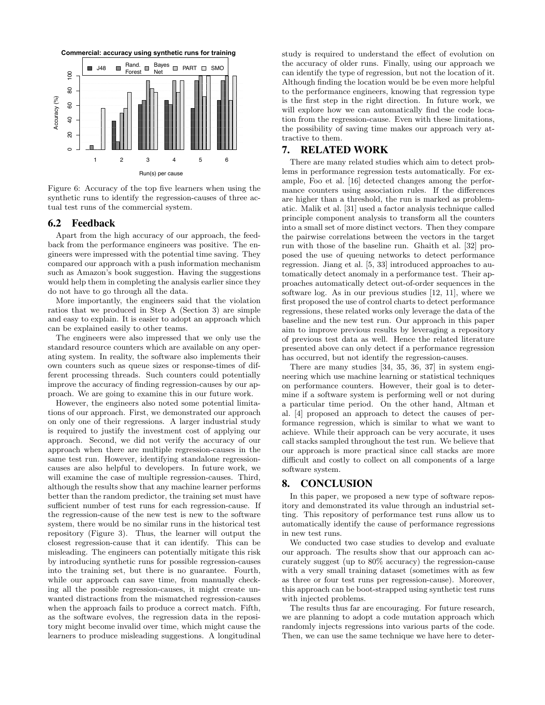

Figure 6: Accuracy of the top five learners when using the synthetic runs to identify the regression-causes of three actual test runs of the commercial system.

#### 6.2 Feedback

Apart from the high accuracy of our approach, the feedback from the performance engineers was positive. The engineers were impressed with the potential time saving. They compared our approach with a push information mechanism such as Amazon's book suggestion. Having the suggestions would help them in completing the analysis earlier since they do not have to go through all the data.

More importantly, the engineers said that the violation ratios that we produced in Step A (Section 3) are simple and easy to explain. It is easier to adopt an approach which can be explained easily to other teams.

The engineers were also impressed that we only use the standard resource counters which are available on any operating system. In reality, the software also implements their own counters such as queue sizes or response-times of different processing threads. Such counters could potentially improve the accuracy of finding regression-causes by our approach. We are going to examine this in our future work.

However, the engineers also noted some potential limitations of our approach. First, we demonstrated our approach on only one of their regressions. A larger industrial study is required to justify the investment cost of applying our approach. Second, we did not verify the accuracy of our approach when there are multiple regression-causes in the same test run. However, identifying standalone regressioncauses are also helpful to developers. In future work, we will examine the case of multiple regression-causes. Third, although the results show that any machine learner performs better than the random predictor, the training set must have sufficient number of test runs for each regression-cause. If the regression-cause of the new test is new to the software system, there would be no similar runs in the historical test repository (Figure 3). Thus, the learner will output the closest regression-cause that it can identify. This can be misleading. The engineers can potentially mitigate this risk by introducing synthetic runs for possible regression-causes into the training set, but there is no guarantee. Fourth, while our approach can save time, from manually checking all the possible regression-causes, it might create unwanted distractions from the mismatched regression-causes when the approach fails to produce a correct match. Fifth, as the software evolves, the regression data in the repository might become invalid over time, which might cause the learners to produce misleading suggestions. A longitudinal

study is required to understand the effect of evolution on the accuracy of older runs. Finally, using our approach we can identify the type of regression, but not the location of it. Although finding the location would be be even more helpful to the performance engineers, knowing that regression type is the first step in the right direction. In future work, we will explore how we can automatically find the code location from the regression-cause. Even with these limitations, the possibility of saving time makes our approach very attractive to them.

#### 7. RELATED WORK

There are many related studies which aim to detect problems in performance regression tests automatically. For example, Foo et al. [16] detected changes among the performance counters using association rules. If the differences are higher than a threshold, the run is marked as problematic. Malik et al. [31] used a factor analysis technique called principle component analysis to transform all the counters into a small set of more distinct vectors. Then they compare the pairwise correlations between the vectors in the target run with those of the baseline run. Ghaith et al. [32] proposed the use of queuing networks to detect performance regression. Jiang et al. [5, 33] introduced approaches to automatically detect anomaly in a performance test. Their approaches automatically detect out-of-order sequences in the software log. As in our previous studies [12, 11], where we first proposed the use of control charts to detect performance regressions, these related works only leverage the data of the baseline and the new test run. Our approach in this paper aim to improve previous results by leveraging a repository of previous test data as well. Hence the related literature presented above can only detect if a performance regression has occurred, but not identify the regression-causes.

There are many studies [34, 35, 36, 37] in system engineering which use machine learning or statistical techniques on performance counters. However, their goal is to determine if a software system is performing well or not during a particular time period. On the other hand, Altman et al. [4] proposed an approach to detect the causes of performance regression, which is similar to what we want to achieve. While their approach can be very accurate, it uses call stacks sampled throughout the test run. We believe that our approach is more practical since call stacks are more difficult and costly to collect on all components of a large software system.

#### 8. CONCLUSION

In this paper, we proposed a new type of software repository and demonstrated its value through an industrial setting. This repository of performance test runs allow us to automatically identify the cause of performance regressions in new test runs.

We conducted two case studies to develop and evaluate our approach. The results show that our approach can accurately suggest (up to 80% accuracy) the regression-cause with a very small training dataset (sometimes with as few as three or four test runs per regression-cause). Moreover, this approach can be boot-strapped using synthetic test runs with injected problems.

The results thus far are encouraging. For future research, we are planning to adopt a code mutation approach which randomly injects regressions into various parts of the code. Then, we can use the same technique we have here to deter